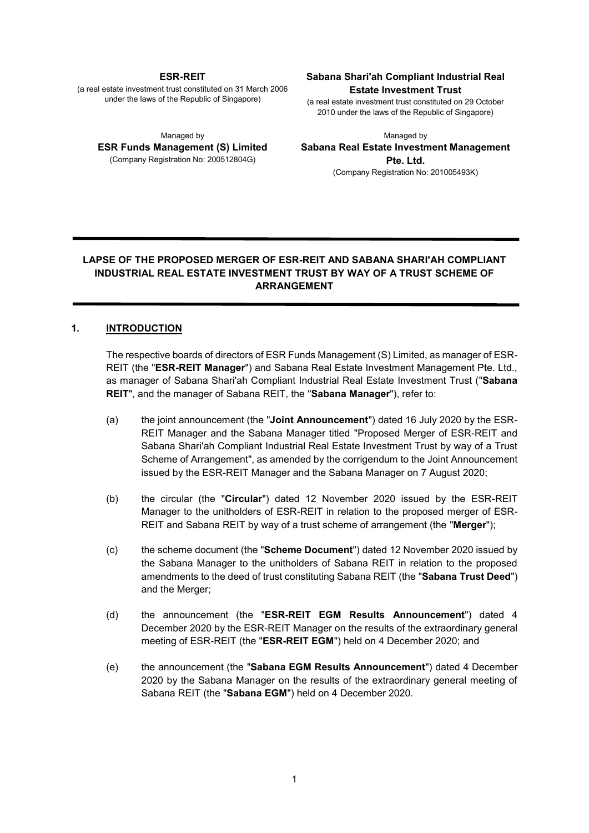#### **ESR-REIT**

(a real estate investment trust constituted on 31 March 2006 under the laws of the Republic of Singapore)

Managed by **ESR Funds Management (S) Limited**  (Company Registration No: 200512804G)

#### **Sabana Shari'ah Compliant Industrial Real Estate Investment Trust**

(a real estate investment trust constituted on 29 October 2010 under the laws of the Republic of Singapore)

Managed by **Sabana Real Estate Investment Management Pte. Ltd.** (Company Registration No: 201005493K)

# **LAPSE OF THE PROPOSED MERGER OF ESR-REIT AND SABANA SHARI'AH COMPLIANT INDUSTRIAL REAL ESTATE INVESTMENT TRUST BY WAY OF A TRUST SCHEME OF ARRANGEMENT**

### **1. INTRODUCTION**

The respective boards of directors of ESR Funds Management (S) Limited, as manager of ESR-REIT (the "**ESR-REIT Manager**") and Sabana Real Estate Investment Management Pte. Ltd., as manager of Sabana Shari'ah Compliant Industrial Real Estate Investment Trust ("**Sabana REIT**", and the manager of Sabana REIT, the "**Sabana Manager**"), refer to:

- (a) the joint announcement (the "**Joint Announcement**") dated 16 July 2020 by the ESR-REIT Manager and the Sabana Manager titled "Proposed Merger of ESR-REIT and Sabana Shari'ah Compliant Industrial Real Estate Investment Trust by way of a Trust Scheme of Arrangement", as amended by the corrigendum to the Joint Announcement issued by the ESR-REIT Manager and the Sabana Manager on 7 August 2020;
- (b) the circular (the "**Circular**") dated 12 November 2020 issued by the ESR-REIT Manager to the unitholders of ESR-REIT in relation to the proposed merger of ESR-REIT and Sabana REIT by way of a trust scheme of arrangement (the "**Merger**");
- (c) the scheme document (the "**Scheme Document**") dated 12 November 2020 issued by the Sabana Manager to the unitholders of Sabana REIT in relation to the proposed amendments to the deed of trust constituting Sabana REIT (the "**Sabana Trust Deed**") and the Merger;
- (d) the announcement (the "**ESR-REIT EGM Results Announcement**") dated 4 December 2020 by the ESR-REIT Manager on the results of the extraordinary general meeting of ESR-REIT (the "**ESR-REIT EGM**") held on 4 December 2020; and
- (e) the announcement (the "**Sabana EGM Results Announcement**") dated 4 December 2020 by the Sabana Manager on the results of the extraordinary general meeting of Sabana REIT (the "**Sabana EGM**") held on 4 December 2020.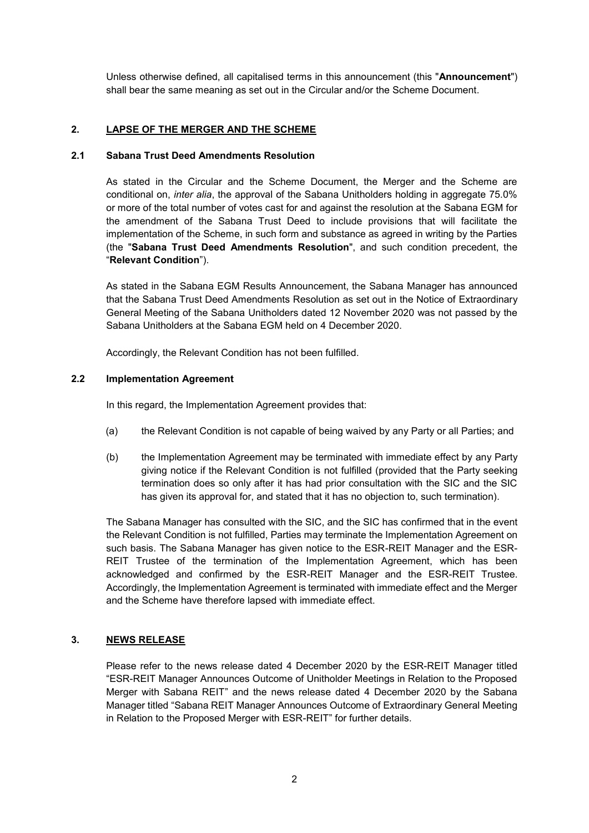Unless otherwise defined, all capitalised terms in this announcement (this "**Announcement**") shall bear the same meaning as set out in the Circular and/or the Scheme Document.

# **2. LAPSE OF THE MERGER AND THE SCHEME**

# **2.1 Sabana Trust Deed Amendments Resolution**

As stated in the Circular and the Scheme Document, the Merger and the Scheme are conditional on, *inter alia*, the approval of the Sabana Unitholders holding in aggregate 75.0% or more of the total number of votes cast for and against the resolution at the Sabana EGM for the amendment of the Sabana Trust Deed to include provisions that will facilitate the implementation of the Scheme, in such form and substance as agreed in writing by the Parties (the "**Sabana Trust Deed Amendments Resolution**", and such condition precedent, the "**Relevant Condition**").

As stated in the Sabana EGM Results Announcement, the Sabana Manager has announced that the Sabana Trust Deed Amendments Resolution as set out in the Notice of Extraordinary General Meeting of the Sabana Unitholders dated 12 November 2020 was not passed by the Sabana Unitholders at the Sabana EGM held on 4 December 2020.

Accordingly, the Relevant Condition has not been fulfilled.

### **2.2 Implementation Agreement**

In this regard, the Implementation Agreement provides that:

- (a) the Relevant Condition is not capable of being waived by any Party or all Parties; and
- (b) the Implementation Agreement may be terminated with immediate effect by any Party giving notice if the Relevant Condition is not fulfilled (provided that the Party seeking termination does so only after it has had prior consultation with the SIC and the SIC has given its approval for, and stated that it has no objection to, such termination).

The Sabana Manager has consulted with the SIC, and the SIC has confirmed that in the event the Relevant Condition is not fulfilled, Parties may terminate the Implementation Agreement on such basis. The Sabana Manager has given notice to the ESR-REIT Manager and the ESR-REIT Trustee of the termination of the Implementation Agreement, which has been acknowledged and confirmed by the ESR-REIT Manager and the ESR-REIT Trustee. Accordingly, the Implementation Agreement is terminated with immediate effect and the Merger and the Scheme have therefore lapsed with immediate effect.

## **3. NEWS RELEASE**

Please refer to the news release dated 4 December 2020 by the ESR-REIT Manager titled "ESR-REIT Manager Announces Outcome of Unitholder Meetings in Relation to the Proposed Merger with Sabana REIT" and the news release dated 4 December 2020 by the Sabana Manager titled "Sabana REIT Manager Announces Outcome of Extraordinary General Meeting in Relation to the Proposed Merger with ESR-REIT" for further details.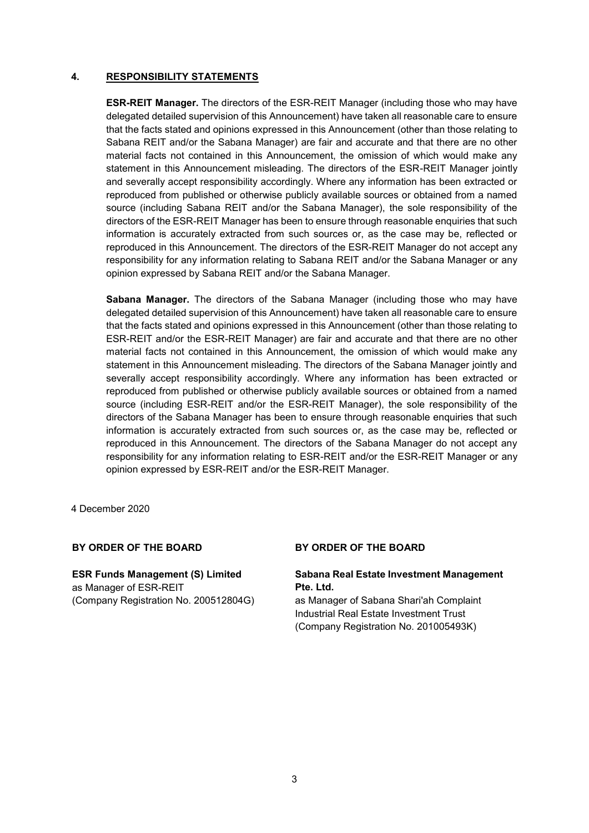## **4. RESPONSIBILITY STATEMENTS**

**ESR-REIT Manager.** The directors of the ESR-REIT Manager (including those who may have delegated detailed supervision of this Announcement) have taken all reasonable care to ensure that the facts stated and opinions expressed in this Announcement (other than those relating to Sabana REIT and/or the Sabana Manager) are fair and accurate and that there are no other material facts not contained in this Announcement, the omission of which would make any statement in this Announcement misleading. The directors of the ESR-REIT Manager jointly and severally accept responsibility accordingly. Where any information has been extracted or reproduced from published or otherwise publicly available sources or obtained from a named source (including Sabana REIT and/or the Sabana Manager), the sole responsibility of the directors of the ESR-REIT Manager has been to ensure through reasonable enquiries that such information is accurately extracted from such sources or, as the case may be, reflected or reproduced in this Announcement. The directors of the ESR-REIT Manager do not accept any responsibility for any information relating to Sabana REIT and/or the Sabana Manager or any opinion expressed by Sabana REIT and/or the Sabana Manager.

**Sabana Manager.** The directors of the Sabana Manager (including those who may have delegated detailed supervision of this Announcement) have taken all reasonable care to ensure that the facts stated and opinions expressed in this Announcement (other than those relating to ESR-REIT and/or the ESR-REIT Manager) are fair and accurate and that there are no other material facts not contained in this Announcement, the omission of which would make any statement in this Announcement misleading. The directors of the Sabana Manager jointly and severally accept responsibility accordingly. Where any information has been extracted or reproduced from published or otherwise publicly available sources or obtained from a named source (including ESR-REIT and/or the ESR-REIT Manager), the sole responsibility of the directors of the Sabana Manager has been to ensure through reasonable enquiries that such information is accurately extracted from such sources or, as the case may be, reflected or reproduced in this Announcement. The directors of the Sabana Manager do not accept any responsibility for any information relating to ESR-REIT and/or the ESR-REIT Manager or any opinion expressed by ESR-REIT and/or the ESR-REIT Manager.

4 December 2020

## **BY ORDER OF THE BOARD BY ORDER OF THE BOARD**

**ESR Funds Management (S) Limited** as Manager of ESR-REIT (Company Registration No. 200512804G)

#### **Sabana Real Estate Investment Management Pte. Ltd.**

as Manager of Sabana Shari'ah Complaint Industrial Real Estate Investment Trust (Company Registration No. 201005493K)